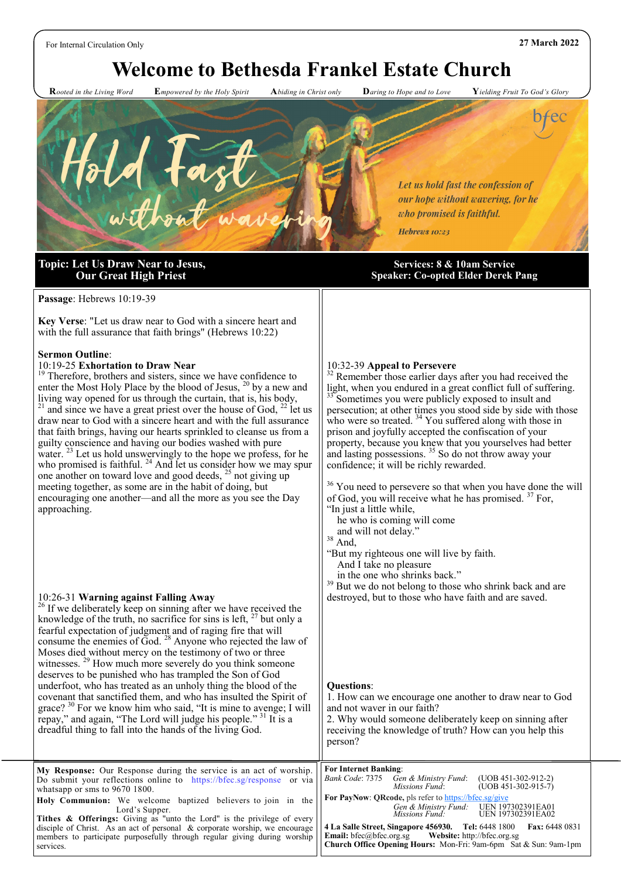# **Welcome to Bethesda Frankel Estate Church**

 **R***ooted in the Living Word* **E***mpowered by the Holy Spirit* **A***biding in Christ only* **D***aring to Hope and to Love* **Y***ielding Fruit To God's Glory*



## **Topic: Let Us Draw Near to Jesus, Our Great High Priest**

**Passage**: Hebrews 10:19-39

**Key Verse**: "Let us draw near to God with a sincere heart and with the full assurance that faith brings" (Hebrews 10:22)

#### **Sermon Outline**:

#### 10:19-25 **Exhortation to Draw Near**

<sup>19</sup> Therefore, brothers and sisters, since we have confidence to enter the Most Holy Place by the blood of Jesus, <sup>20</sup> by a new and living way opened for us through the curtain, that is, his body, <sup>21</sup> and since we have a great priest over the house of God,  $^{22}$  let us draw near to God with a sincere heart and with the full assurance that faith brings, having our hearts sprinkled to cleanse us from a guilty conscience and having our bodies washed with pure water.  $^{23}$  Let us hold unswervingly to the hope we profess, for he who promised is faithful.  $^{24}$  And let us consider how we may spur one another on toward love and good deeds,  $25$  not giving up meeting together, as some are in the habit of doing, but encouraging one another—and all the more as you see the Day approaching.

#### 10:26-31 **Warning against Falling Away**

 $26$  If we deliberately keep on sinning after we have received the knowledge of the truth, no sacrifice for sins is left,  $27$  but only a fearful expectation of judgment and of raging fire that will consume the enemies of God. <sup>28</sup> Anyone who rejected the law of Moses died without mercy on the testimony of two or three witnesses. <sup>29</sup> How much more severely do you think someone deserves to be punished who has trampled the Son of God underfoot, who has treated as an unholy thing the blood of the covenant that sanctified them, and who has insulted the Spirit of grace? <sup>30</sup> For we know him who said, "It is mine to avenge; I will repay," and again, "The Lord will judge his people."  $31$  It is a dreadful thing to fall into the hands of the living God.

#### **Services: 8 & 10am Service Speaker: Co-opted Elder Derek Pang**

#### 10:32-39 **Appeal to Persevere**

 $2<sup>2</sup>$  Remember those earlier days after you had received the light, when you endured in a great conflict full of suffering. Sometimes you were publicly exposed to insult and

persecution; at other times you stood side by side with those who were so treated.  $34$  You suffered along with those in prison and joyfully accepted the confiscation of your property, because you knew that you yourselves had better and lasting possessions.<sup>35</sup> So do not throw away your confidence; it will be richly rewarded.

 $36$  You need to persevere so that when you have done the will of God, you will receive what he has promised.  $37$  For, "In just a little while,

he who is coming will come

and will not delay."

<sup>38</sup> And,

"But my righteous one will live by faith.

And I take no pleasure

in the one who shrinks back."

 $39$  But we do not belong to those who shrink back and are destroyed, but to those who have faith and are saved.

#### **Questions**:

1. How can we encourage one another to draw near to God and not waver in our faith? 2. Why would someone deliberately keep on sinning after receiving the knowledge of truth? How can you help this person?

| My Response: Our Response during the service is an act of worship.                 | <b>For Internet Banking:</b>                                                  |  |
|------------------------------------------------------------------------------------|-------------------------------------------------------------------------------|--|
| Do submit your reflections online to https://bfec.sg/response or via               | $(UDB 451-302-912-2)$<br>Bank Code: 7375 Gen & Ministry Fund:                 |  |
| whatsapp or sms to 9670 1800.                                                      | $(UDB 451-302-915-7)$<br><i>Missions Fund:</i>                                |  |
| <b>Holy Communion:</b> We welcome baptized believers to join in the                | <b>For PayNow: QRcode, pls refer to https://bfec.sg/give</b>                  |  |
| Lord's Supper.                                                                     | Gen & Ministry Fund: UEN 197302391EA01<br>UEN 197302391EA02<br>Missions Fund: |  |
| <b>Tithes &amp; Offerings:</b> Giving as "unto the Lord" is the privilege of every |                                                                               |  |
| disciple of Christ. As an act of personal & corporate worship, we encourage        | 4 La Salle Street, Singapore 456930. Tel: 6448 1800<br><b>Fax: 6448 0831</b>  |  |
| members to participate purposefully through regular giving during worship          | <b>Email:</b> bfec@bfec.org.sg Website: http://bfec.org.sg                    |  |
| services.                                                                          | Church Office Opening Hours: Mon-Fri: 9am-6pm Sat & Sun: 9am-1pm              |  |